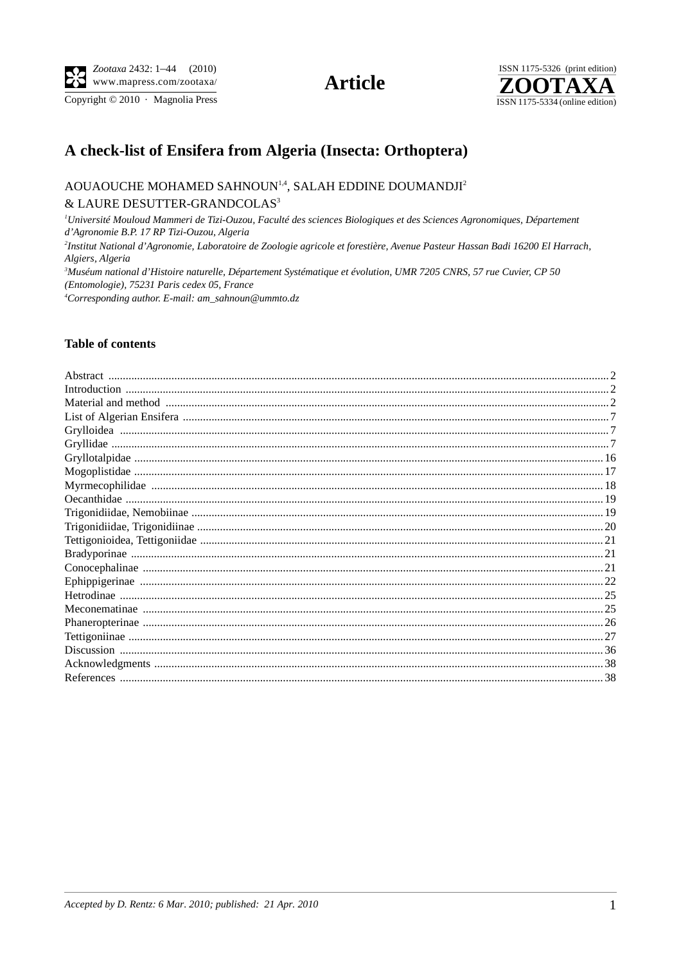Copyright © 2010 · Magnolia Press

**Article** 



# A check-list of Ensifera from Algeria (Insecta: Orthoptera)

# AOUAOUCHE MOHAMED SAHNOUN<sup>1,4</sup>, SALAH EDDINE DOUMANDJI<sup>2</sup>  $\&$  LAURE DESUTTER-GRANDCOLAS $^3$

<sup>1</sup>Université Mouloud Mammeri de Tizi-Ouzou, Faculté des sciences Biologiques et des Sciences Agronomiques, Département d'Agronomie B.P. 17 RP Tizi-Ouzou, Algeria <sup>2</sup>Institut National d'Agronomie, Laboratoire de Zoologie agricole et forestière, Avenue Pasteur Hassan Badi 16200 El Harrach, Algiers, Algeria <sup>3</sup>Muséum national d'Histoire naturelle, Département Systématique et évolution, UMR 7205 CNRS, 57 rue Cuvier, CP 50 (Entomologie), 75231 Paris cedex 05, France <sup>4</sup>Corresponding author. E-mail: am\_sahnoun@ummto.dz

### **Table of contents**

| Material and method material and method and material contracts and material and method material and method material and method and material and method and method and method and method and method and method and method and m |  |
|--------------------------------------------------------------------------------------------------------------------------------------------------------------------------------------------------------------------------------|--|
|                                                                                                                                                                                                                                |  |
|                                                                                                                                                                                                                                |  |
|                                                                                                                                                                                                                                |  |
|                                                                                                                                                                                                                                |  |
|                                                                                                                                                                                                                                |  |
|                                                                                                                                                                                                                                |  |
|                                                                                                                                                                                                                                |  |
|                                                                                                                                                                                                                                |  |
|                                                                                                                                                                                                                                |  |
|                                                                                                                                                                                                                                |  |
|                                                                                                                                                                                                                                |  |
|                                                                                                                                                                                                                                |  |
|                                                                                                                                                                                                                                |  |
|                                                                                                                                                                                                                                |  |
|                                                                                                                                                                                                                                |  |
|                                                                                                                                                                                                                                |  |
|                                                                                                                                                                                                                                |  |
|                                                                                                                                                                                                                                |  |
|                                                                                                                                                                                                                                |  |
|                                                                                                                                                                                                                                |  |
|                                                                                                                                                                                                                                |  |